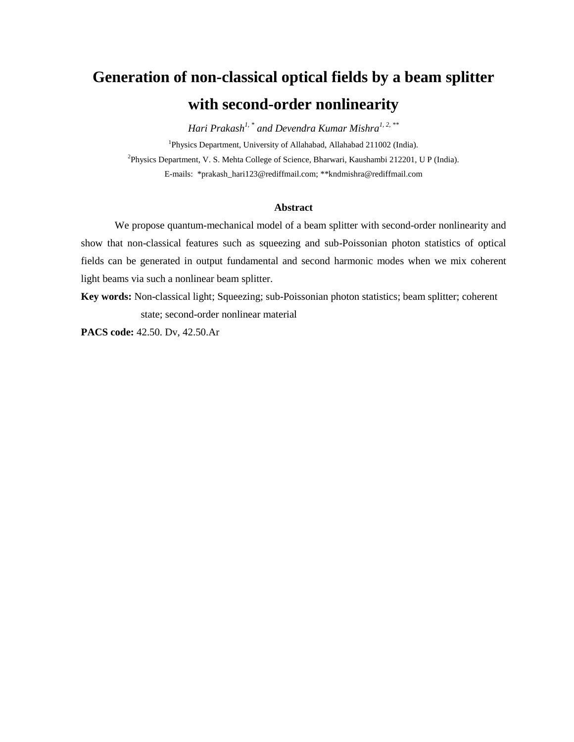# **Generation of non-classical optical fields by a beam splitter with second-order nonlinearity**

*Hari Prakash1, \* and Devendra Kumar Mishra1, 2, \*\** <sup>1</sup>Physics Department, University of Allahabad, Allahabad 211002 (India). <sup>2</sup>Physics Department, V. S. Mehta College of Science, Bharwari, Kaushambi 212201, U P (India). E-mails: \*prakash\_hari123@rediffmail.com; \*\*kndmishra@rediffmail.com

## **Abstract**

We propose quantum-mechanical model of a beam splitter with second-order nonlinearity and show that non-classical features such as squeezing and sub-Poissonian photon statistics of optical fields can be generated in output fundamental and second harmonic modes when we mix coherent light beams via such a nonlinear beam splitter.

**Key words:** Non-classical light; Squeezing; sub-Poissonian photon statistics; beam splitter; coherent state; second-order nonlinear material

**PACS code:** 42.50. Dv, 42.50.Ar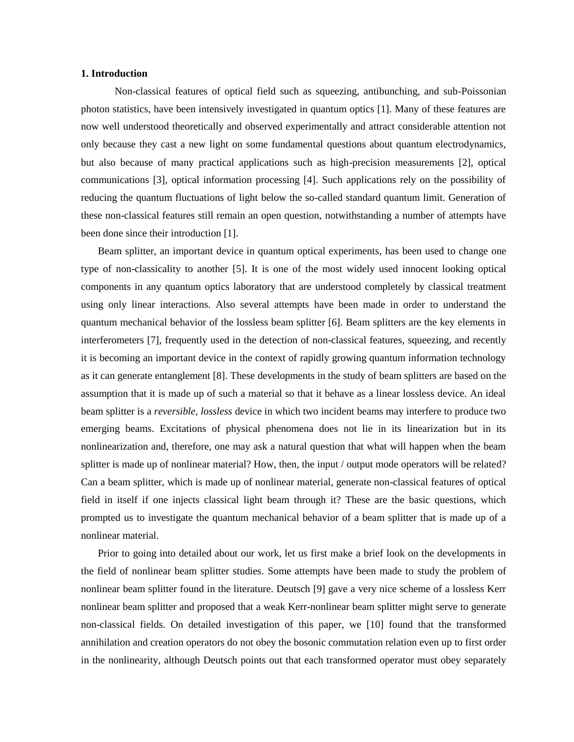#### **1. Introduction**

Non-classical features of optical field such as squeezing, antibunching, and sub-Poissonian photon statistics, have been intensively investigated in quantum optics [1]. Many of these features are now well understood theoretically and observed experimentally and attract considerable attention not only because they cast a new light on some fundamental questions about quantum electrodynamics, but also because of many practical applications such as high-precision measurements [2], optical communications [3], optical information processing [4]. Such applications rely on the possibility of reducing the quantum fluctuations of light below the so-called standard quantum limit. Generation of these non-classical features still remain an open question, notwithstanding a number of attempts have been done since their introduction [1].

Beam splitter, an important device in quantum optical experiments, has been used to change one type of non-classicality to another [5]. It is one of the most widely used innocent looking optical components in any quantum optics laboratory that are understood completely by classical treatment using only linear interactions. Also several attempts have been made in order to understand the quantum mechanical behavior of the lossless beam splitter [6]. Beam splitters are the key elements in interferometers [7], frequently used in the detection of non-classical features, squeezing, and recently it is becoming an important device in the context of rapidly growing quantum information technology as it can generate entanglement [8]. These developments in the study of beam splitters are based on the assumption that it is made up of such a material so that it behave as a linear lossless device. An ideal beam splitter is a *reversible*, *lossless* device in which two incident beams may interfere to produce two emerging beams. Excitations of physical phenomena does not lie in its linearization but in its nonlinearization and, therefore, one may ask a natural question that what will happen when the beam splitter is made up of nonlinear material? How, then, the input / output mode operators will be related? Can a beam splitter, which is made up of nonlinear material, generate non-classical features of optical field in itself if one injects classical light beam through it? These are the basic questions, which prompted us to investigate the quantum mechanical behavior of a beam splitter that is made up of a nonlinear material.

Prior to going into detailed about our work, let us first make a brief look on the developments in the field of nonlinear beam splitter studies. Some attempts have been made to study the problem of nonlinear beam splitter found in the literature. Deutsch [9] gave a very nice scheme of a lossless Kerr nonlinear beam splitter and proposed that a weak Kerr-nonlinear beam splitter might serve to generate non-classical fields. On detailed investigation of this paper, we [10] found that the transformed annihilation and creation operators do not obey the bosonic commutation relation even up to first order in the nonlinearity, although Deutsch points out that each transformed operator must obey separately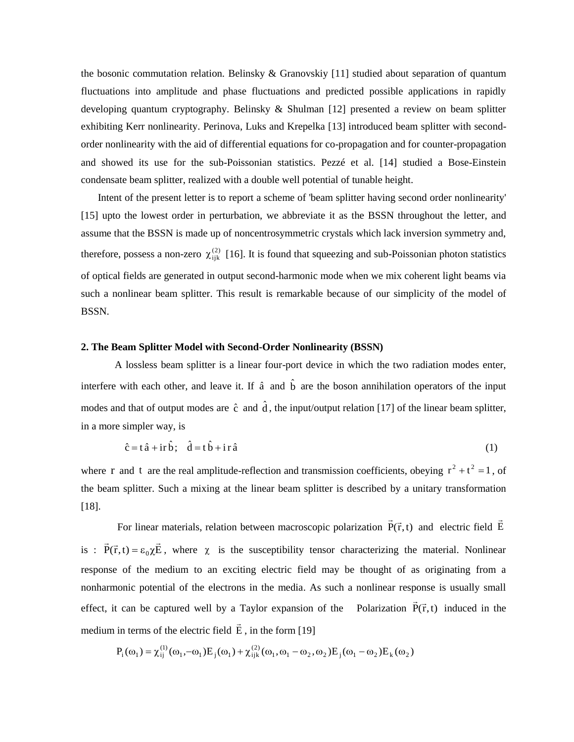the bosonic commutation relation. Belinsky & Granovskiy [11] studied about separation of quantum fluctuations into amplitude and phase fluctuations and predicted possible applications in rapidly developing quantum cryptography. Belinsky & Shulman [12] presented a review on beam splitter exhibiting Kerr nonlinearity. Perinova, Luks and Krepelka [13] introduced beam splitter with secondorder nonlinearity with the aid of differential equations for co-propagation and for counter-propagation and showed its use for the sub-Poissonian statistics. Pezzé et al. [14] studied a Bose-Einstein condensate beam splitter, realized with a double well potential of tunable height.

Intent of the present letter is to report a scheme of 'beam splitter having second order nonlinearity' [15] upto the lowest order in perturbation, we abbreviate it as the BSSN throughout the letter, and assume that the BSSN is made up of noncentrosymmetric crystals which lack inversion symmetry and, therefore, possess a non-zero  $\chi^{(2)}_{ijk}$  [16]. It is found that squeezing and sub-Poissonian photon statistics of optical fields are generated in output second-harmonic mode when we mix coherent light beams via such a nonlinear beam splitter. This result is remarkable because of our simplicity of the model of BSSN.

### **2. The Beam Splitter Model with Second-Order Nonlinearity (BSSN)**

A lossless beam splitter is a linear four-port device in which the two radiation modes enter, interfere with each other, and leave it. If  $\hat{a}$  and  $\hat{b}$  are the boson annihilation operators of the input modes and that of output modes are  $\hat{c}$  and  $\hat{d}$ , the input/output relation [17] of the linear beam splitter, in a more simpler way, is

$$
\hat{c} = t\hat{a} + ir\hat{b}; \quad \hat{d} = t\hat{b} + ir\hat{a}
$$
 (1)

where r and t are the real amplitude-reflection and transmission coefficients, obeying  $r^2 + t^2 = 1$ , of the beam splitter. Such a mixing at the linear beam splitter is described by a unitary transformation [18].

For linear materials, relation between macroscopic polarization  $P(\vec{r},t)$  $\vec{P}(\vec{r}, t)$  and electric field  $\vec{E}$  $\overline{\phantom{a}}$ is :  $\vec{P}(\vec{r},t) = \varepsilon_0 \chi \vec{E}$  $\vec{p}$   $\vec{r}$   $\rightarrow$   $\vec{r}$  $= \varepsilon_0 \chi \vec{E}$ , where  $\chi$  is the susceptibility tensor characterizing the material. Nonlinear response of the medium to an exciting electric field may be thought of as originating from a nonharmonic potential of the electrons in the media. As such a nonlinear response is usually small effect, it can be captured well by a Taylor expansion of the Polarization  $P(\vec{r},t)$  $\vec{P}(\vec{r},t)$  induced in the medium in terms of the electric field E  $\overline{\phantom{a}}$ , in the form [19]

$$
P_i(\omega_1) = \chi_{ij}^{(1)}(\omega_1, -\omega_1) E_j(\omega_1) + \chi_{ijk}^{(2)}(\omega_1, \omega_1 - \omega_2, \omega_2) E_j(\omega_1 - \omega_2) E_k(\omega_2)
$$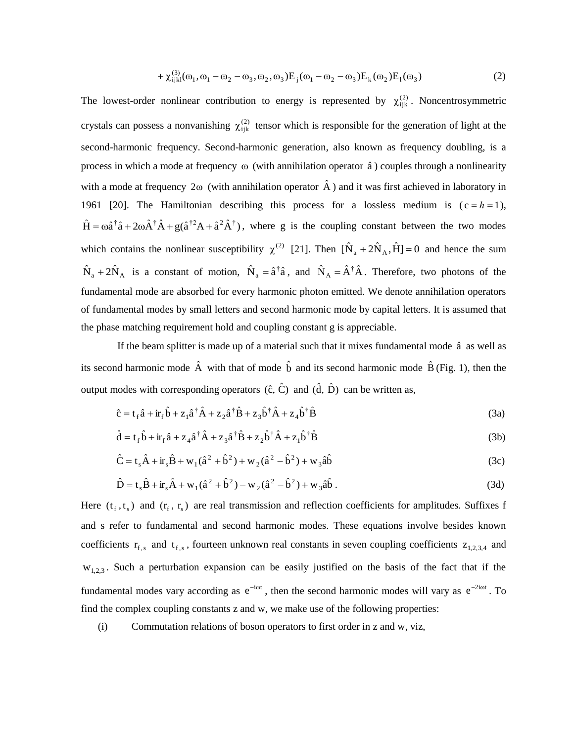+ 
$$
\chi_{ijkl}^{(3)}(\omega_1, \omega_1 - \omega_2 - \omega_3, \omega_2, \omega_3) E_j(\omega_1 - \omega_2 - \omega_3) E_k(\omega_2) E_l(\omega_3)
$$
 (2)

The lowest-order nonlinear contribution to energy is represented by  $\chi_{ijk}^{(2)}$ . Noncentrosymmetric crystals can possess a nonvanishing  $\chi^{(2)}_{ijk}$  tensor which is responsible for the generation of light at the second-harmonic frequency. Second-harmonic generation, also known as frequency doubling, is a process in which a mode at frequency  $\omega$  (with annihilation operator  $\hat{a}$ ) couples through a nonlinearity with a mode at frequency 2 $\omega$  (with annihilation operator  $\hat{A}$ ) and it was first achieved in laboratory in 1961 [20]. The Hamiltonian describing this process for a lossless medium is  $(c = \hbar = 1)$ ,  $\hat{H} = \omega \hat{a}^{\dagger} \hat{a} + 2\omega \hat{A}^{\dagger} \hat{A} + g(\hat{a}^{\dagger 2} A + \hat{a}^2 \hat{A}^{\dagger})$ , where g is the coupling constant between the two modes which contains the nonlinear susceptibility  $\chi^{(2)}$  [21]. Then  $[\hat{N}_a + 2\hat{N}_A, \hat{H}] = 0$  and hence the sum  $\hat{N}_a + 2\hat{N}_A$  is a constant of motion,  $\hat{N}_a = \hat{a}^\dagger \hat{a}$ , and  $\hat{N}_A = \hat{A}^\dagger \hat{A}$ . Therefore, two photons of the fundamental mode are absorbed for every harmonic photon emitted. We denote annihilation operators of fundamental modes by small letters and second harmonic mode by capital letters. It is assumed that the phase matching requirement hold and coupling constant g is appreciable.

If the beam splitter is made up of a material such that it mixes fundamental mode  $\hat{a}$  as well as its second harmonic mode  $\hat{A}$  with that of mode  $\hat{b}$  and its second harmonic mode  $\hat{B}$  (Fig. 1), then the output modes with corresponding operators  $(\hat{c}, \hat{C})$  and  $(\hat{d}, \hat{D})$  can be written as,

$$
\hat{c} = t_f \hat{a} + i r_f \hat{b} + z_1 \hat{a}^\dagger \hat{A} + z_2 \hat{a}^\dagger \hat{B} + z_3 \hat{b}^\dagger \hat{A} + z_4 \hat{b}^\dagger \hat{B}
$$
\n(3a)

$$
\hat{\mathbf{d}} = \mathbf{t}_{\rm f} \hat{\mathbf{b}} + \dot{\mathbf{r}}_{\rm f} \hat{\mathbf{a}} + \mathbf{z}_{4} \hat{\mathbf{a}}^{\dagger} \hat{\mathbf{A}} + \mathbf{z}_{3} \hat{\mathbf{a}}^{\dagger} \hat{\mathbf{B}} + \mathbf{z}_{2} \hat{\mathbf{b}}^{\dagger} \hat{\mathbf{A}} + \mathbf{z}_{1} \hat{\mathbf{b}}^{\dagger} \hat{\mathbf{B}} \tag{3b}
$$

$$
\hat{C} = t_s \hat{A} + i r_s \hat{B} + w_1 (\hat{a}^2 + \hat{b}^2) + w_2 (\hat{a}^2 - \hat{b}^2) + w_3 \hat{a} \hat{b}
$$
\n(3c)

$$
\hat{D} = t_s \hat{B} + i r_s \hat{A} + w_1 (\hat{a}^2 + \hat{b}^2) - w_2 (\hat{a}^2 - \hat{b}^2) + w_3 \hat{a} \hat{b} .
$$
\n(3d)

Here  $(t_f, t_s)$  and  $(r_f, r_s)$  are real transmission and reflection coefficients for amplitudes. Suffixes f and s refer to fundamental and second harmonic modes. These equations involve besides known coefficients  $r_{f,s}$  and  $t_{f,s}$ , fourteen unknown real constants in seven coupling coefficients  $z_{1,2,3,4}$  and  $W_{1,2,3}$ . Such a perturbation expansion can be easily justified on the basis of the fact that if the fundamental modes vary according as  $e^{-i\omega t}$ , then the second harmonic modes will vary as  $e^{-2i\omega t}$ . To find the complex coupling constants z and w, we make use of the following properties:

(i) Commutation relations of boson operators to first order in z and w, viz,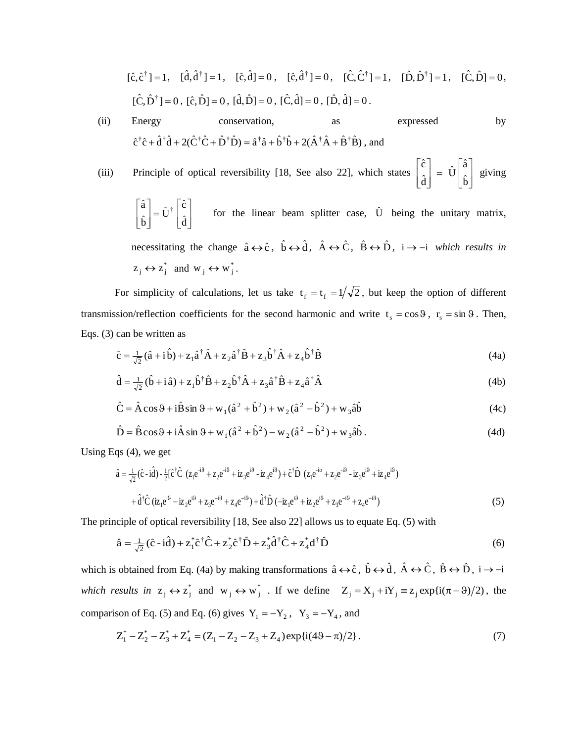$$
[\hat{c}, \hat{c}^{\dagger}] = 1, \quad [\hat{d}, \hat{d}^{\dagger}] = 1, \quad [\hat{c}, \hat{d}] = 0, \quad [\hat{c}, \hat{d}^{\dagger}] = 0, \quad [\hat{C}, \hat{C}^{\dagger}] = 1, \quad [\hat{D}, \hat{D}^{\dagger}] = 1, \quad [\hat{C}, \hat{D}] = 0,
$$
  

$$
[\hat{C}, \hat{D}^{\dagger}] = 0, \quad [\hat{c}, \hat{D}] = 0, \quad [\hat{d}, \hat{D}] = 0, \quad [\hat{C}, \hat{d}] = 0, \quad [\hat{D}, \hat{d}] = 0.
$$

(ii) Energy conservation, as expressed by  $\hat{c}^{\dagger}\hat{c} + \hat{d}^{\dagger}\hat{d} + 2(\hat{C}^{\dagger}\hat{C} + \hat{D}^{\dagger}\hat{D}) = \hat{a}^{\dagger}\hat{a} + \hat{b}^{\dagger}\hat{b} + 2(\hat{A}^{\dagger}\hat{A} + \hat{B}^{\dagger}\hat{B})$ , and

(iii) Principle of optical reversibility [18, See also 22], which states  $\overline{\phantom{a}}$  $\overline{\phantom{a}}$ J  $\overline{\phantom{a}}$  $\mathsf{L}$  $\mathsf{L}$ L  $\mathbf{r}$  $=$  $\overline{\phantom{a}}$  $\overline{\phantom{a}}$ J  $\overline{\phantom{a}}$  $\mathsf{L}$  $\mathsf{L}$ L Ŀ  $\hat{\mathbf{b}}$  $\hat{U}$ a  $\hat{\mathrm{d}}$ cˆ giving

 $\overline{\phantom{a}}$  $\overline{\phantom{a}}$ J  $\overline{\phantom{a}}$  $\mathbf{r}$ L L L  $=$  $\overline{\phantom{a}}$  $\overline{\phantom{a}}$ J  $\overline{\phantom{a}}$  $\mathbf{r}$ L L L  $\hat{\mathrm{d}}$  $\hat{\mathrm{U}}^\dagger$   $\begin{bmatrix} \hat{\mathrm{c}} \\ \ \, \hat{\mathrm{c}} \end{bmatrix}$  $\hat{\mathbf{b}}$  $\hat{a}$ <sub>2</sub> =  $\hat{U}^{\dagger}$   $\begin{bmatrix} \hat{c} \\ \hat{c} \end{bmatrix}$  for the linear beam splitter case,  $\hat{U}$  being the unitary matrix, necessitating the change  $\hat{a} \leftrightarrow \hat{c}$ ,  $\hat{b} \leftrightarrow \hat{d}$ ,  $\hat{A} \leftrightarrow \hat{C}$ ,  $\hat{B} \leftrightarrow \hat{D}$ ,  $i \rightarrow -i$  which results in  $z_j \leftrightarrow z_j^*$  and  $w_j \leftrightarrow w_j^*$ .

For simplicity of calculations, let us take  $t_f = t_f = 1/\sqrt{2}$ , but keep the option of different transmission/reflection coefficients for the second harmonic and write  $t_s = \cos \theta$ ,  $r_s = \sin \theta$ . Then, Eqs. (3) can be written as

$$
\hat{\mathbf{c}} = \frac{1}{\sqrt{2}} (\hat{\mathbf{a}} + \hat{\mathbf{i}} \hat{\mathbf{b}}) + \mathbf{z}_1 \hat{\mathbf{a}}^\dagger \hat{\mathbf{A}} + \mathbf{z}_2 \hat{\mathbf{a}}^\dagger \hat{\mathbf{B}} + \mathbf{z}_3 \hat{\mathbf{b}}^\dagger \hat{\mathbf{A}} + \mathbf{z}_4 \hat{\mathbf{b}}^\dagger \hat{\mathbf{B}} \tag{4a}
$$

$$
\hat{\mathbf{d}} = \frac{1}{\sqrt{2}} (\hat{\mathbf{b}} + \mathbf{i} \hat{\mathbf{a}}) + \mathbf{z}_1 \hat{\mathbf{b}}^\dagger \hat{\mathbf{B}} + \mathbf{z}_2 \hat{\mathbf{b}}^\dagger \hat{\mathbf{A}} + \mathbf{z}_3 \hat{\mathbf{a}}^\dagger \hat{\mathbf{B}} + \mathbf{z}_4 \hat{\mathbf{a}}^\dagger \hat{\mathbf{A}} \tag{4b}
$$

$$
\hat{C} = \hat{A}\cos\theta + i\hat{B}\sin\theta + w_1(\hat{a}^2 + \hat{b}^2) + w_2(\hat{a}^2 - \hat{b}^2) + w_3\hat{a}\hat{b}
$$
(4c)

$$
\hat{D} = \hat{B}\cos\theta + i\hat{A}\sin\theta + w_1(\hat{a}^2 + \hat{b}^2) - w_2(\hat{a}^2 - \hat{b}^2) + w_3\hat{a}\hat{b}.
$$
\n(4d)

Using Eqs (4), we get

$$
\hat{a} = \frac{1}{\sqrt{2}} (\hat{c} - i\hat{d}) - \frac{1}{2} [\hat{c}^{\dagger} \hat{C} (z_1 e^{i\theta} + z_2 e^{i\theta} + i z_3 e^{i\theta} - i z_4 e^{i\theta}) + \hat{c}^{\dagger} \hat{D} (z_1 e^{i\theta} + z_2 e^{i\theta} - i z_3 e^{i\theta} + i z_4 e^{i\theta})
$$
  
+  $\hat{d}^{\dagger} \hat{C} (iz_1 e^{i\theta} - iz_2 e^{i\theta} + z_3 e^{-i\theta} + z_4 e^{-i\theta}) + \hat{d}^{\dagger} \hat{D} (-iz_1 e^{i\theta} + iz_2 e^{i\theta} + z_3 e^{-i\theta} + z_4 e^{-i\theta})$  (5)

The principle of optical reversibility [18, See also 22] allows us to equate Eq. (5) with

$$
\hat{\mathbf{a}} = \frac{1}{\sqrt{2}} (\hat{\mathbf{c}} - \mathbf{i} \hat{\mathbf{d}}) + \mathbf{z}_1^* \hat{\mathbf{c}}^{\dagger} \hat{\mathbf{C}} + \mathbf{z}_2^* \hat{\mathbf{c}}^{\dagger} \hat{\mathbf{D}} + \mathbf{z}_3^* \hat{\mathbf{d}}^{\dagger} \hat{\mathbf{C}} + \mathbf{z}_4^* \mathbf{d}^{\dagger} \hat{\mathbf{D}} \tag{6}
$$

which is obtained from Eq. (4a) by making transformations  $\hat{a} \leftrightarrow \hat{c}$ ,  $\hat{b} \leftrightarrow \hat{d}$ ,  $\hat{A} \leftrightarrow \hat{C}$ ,  $\hat{B} \leftrightarrow \hat{D}$ ,  $i \rightarrow -i$ which results in  $z_j \leftrightarrow z_j^*$  and  $w_j \leftrightarrow w_j^*$ . If we define  $Z_j = X_j + iY_j \equiv z_j \exp{i(\pi - \vartheta)/2}$ , the comparison of Eq. (5) and Eq. (6) gives  $Y_1 = -Y_2$ ,  $Y_3 = -Y_4$ , and

$$
Z_1^* - Z_2^* - Z_3^* + Z_4^* = (Z_1 - Z_2 - Z_3 + Z_4) \exp\{i(49 - \pi)/2\}.
$$
 (7)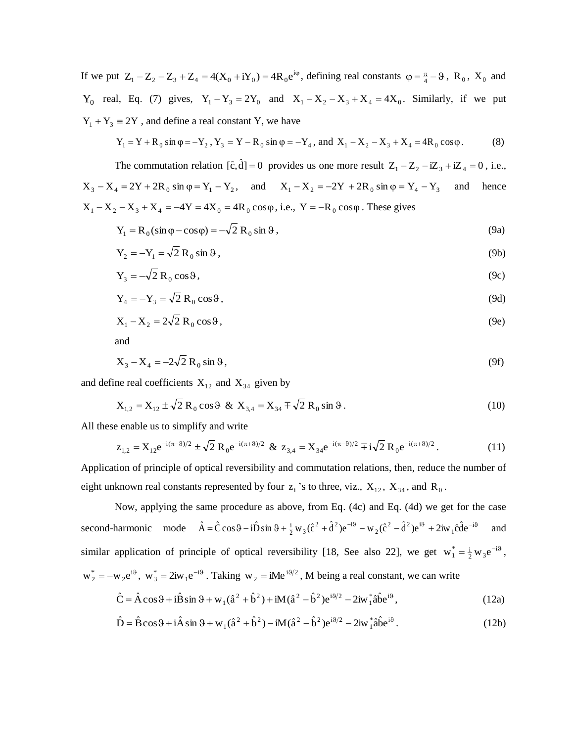If we put  $Z_1 - Z_2 - Z_3 + Z_4 = 4(X_0 + iY_0) = 4R_0 e^{i\varphi}$ , defining real constants  $\varphi = \frac{\pi}{4} - \vartheta$ ,  $R_0$ ,  $X_0$  and  $Y_0$  real, Eq. (7) gives,  $Y_1 - Y_3 = 2Y_0$  and  $X_1 - X_2 - X_3 + X_4 = 4X_0$ . Similarly, if we put  $Y_1 + Y_3 \equiv 2Y$ , and define a real constant Y, we have

$$
Y_1 = Y + R_0 \sin \varphi = -Y_2, Y_3 = Y - R_0 \sin \varphi = -Y_4, \text{ and } X_1 - X_2 - X_3 + X_4 = 4R_0 \cos \varphi.
$$
 (8)

The commutation relation  $[\hat{c}, \hat{d}] = 0$  provides us one more result  $Z_1 - Z_2 - iZ_3 + iZ_4 = 0$ , i.e.,  $X_3 - X_4 = 2Y + 2R_0 \sin \varphi = Y_1 - Y_2$ , and  $X_1 - X_2 = -2Y + 2R_0 \sin \varphi = Y_4 - Y_3$  and hence  $X_1 - X_2 - X_3 + X_4 = -4Y = 4X_0 = 4R_0 \cos\varphi$ , i.e.,  $Y = -R_0 \cos\varphi$ . These gives

$$
Y_1 = R_0(\sin \varphi - \cos \varphi) = -\sqrt{2} R_0 \sin \vartheta, \qquad (9a)
$$

$$
Y_2 = -Y_1 = \sqrt{2} R_0 \sin \theta, \qquad (9b)
$$

$$
Y_3 = -\sqrt{2} R_0 \cos \theta, \tag{9c}
$$

$$
Y_4 = -Y_3 = \sqrt{2} R_0 \cos \theta, \qquad (9d)
$$

$$
X_1 - X_2 = 2\sqrt{2} R_0 \cos \theta, \qquad (9e)
$$

and

$$
X_3 - X_4 = -2\sqrt{2} R_0 \sin \theta, \qquad (9f)
$$

and define real coefficients  $X_{12}$  and  $X_{34}$  given by

$$
X_{1,2} = X_{12} \pm \sqrt{2} R_0 \cos \theta \& X_{3,4} = X_{34} \mp \sqrt{2} R_0 \sin \theta.
$$
 (10)

All these enable us to simplify and write

$$
z_{1,2} = X_{12} e^{-i(\pi - \vartheta)/2} \pm \sqrt{2} R_0 e^{-i(\pi + \vartheta)/2} \& z_{3,4} = X_{34} e^{-i(\pi - \vartheta)/2} \mp i\sqrt{2} R_0 e^{-i(\pi + \vartheta)/2}.
$$
 (11)

Application of principle of optical reversibility and commutation relations, then, reduce the number of eight unknown real constants represented by four  $z_i$ 's to three, viz.,  $X_{12}$ ,  $X_{34}$ , and  $R_0$ .

Now, applying the same procedure as above, from Eq. (4c) and Eq. (4d) we get for the case second-harmonic mode  $\hat{A} = \hat{C}\cos\theta - i\hat{D}\sin\theta + \frac{i}{2}w_3(\hat{c}^2 + \hat{d}^2)e^{-i\theta} - w_2(\hat{c}^2 - \hat{d}^2)e^{i\theta} + 2iw_1\hat{c}\hat{d}e^{-i\theta}$ and similar application of principle of optical reversibility [18, See also 22], we get  $w_1^* = \frac{1}{2} w_3 e^{-i\theta}$ ,  $w_2^* = -w_2 e^{i\theta}$ ,  $w_3^* = 2iw_1 e^{-i\theta}$ . Taking  $w_2 = iMe^{i\theta/2}$ , M being a real constant, we can write

$$
\hat{C} = \hat{A}\cos\theta + i\hat{B}\sin\theta + w_1(\hat{a}^2 + \hat{b}^2) + iM(\hat{a}^2 - \hat{b}^2)e^{i\theta/2} - 2iw_1^*\hat{a}\hat{b}e^{i\theta},
$$
\n(12a)

$$
\hat{D} = \hat{B}\cos\theta + i\hat{A}\sin\theta + w_1(\hat{a}^2 + \hat{b}^2) - iM(\hat{a}^2 - \hat{b}^2)e^{i\theta/2} - 2iw_1^*\hat{a}\hat{b}e^{i\theta}.
$$
 (12b)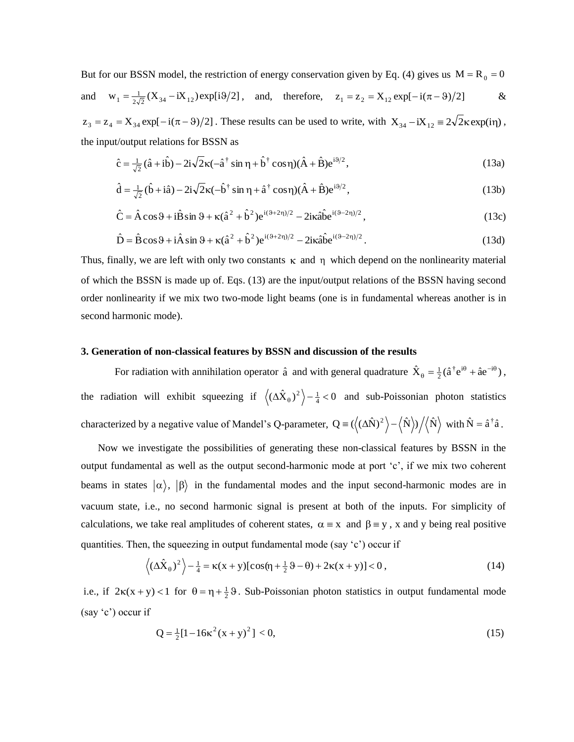But for our BSSN model, the restriction of energy conservation given by Eq. (4) gives us  $M = R_0 = 0$ and  $w_1 = \frac{1}{2\sqrt{2}} (X_{34} - iX_{12}) \exp[i\theta/2]$ , and, therefore,  $z_1 = z_2 = X_{12} \exp[-i(\pi - \theta)/2]$  &  $z_3 = z_4 = X_{34} \exp[-i(\pi - \theta)/2]$ . These results can be used to write, with  $X_{34} - iX_{12} = 2\sqrt{2\kappa} \exp(i\eta)$ , the input/output relations for BSSN as

$$
\hat{c} = \frac{1}{\sqrt{2}} (\hat{a} + i\hat{b}) - 2i\sqrt{2}\kappa (-\hat{a}^\dagger \sin \eta + \hat{b}^\dagger \cos \eta)(\hat{A} + \hat{B})e^{i\theta/2},\tag{13a}
$$

$$
\hat{\mathbf{d}} = \frac{1}{\sqrt{2}} (\hat{\mathbf{b}} + i\hat{\mathbf{a}}) - 2i\sqrt{2}\kappa (-\hat{\mathbf{b}}^{\dagger} \sin \eta + \hat{\mathbf{a}}^{\dagger} \cos \eta)(\hat{\mathbf{A}} + \hat{\mathbf{B}})\mathbf{e}^{i\theta/2},
$$
\n(13b)

$$
\hat{C} = \hat{A}\cos\theta + i\hat{B}\sin\theta + \kappa(\hat{a}^2 + \hat{b}^2)e^{i(\theta + 2\eta)/2} - 2i\kappa\hat{a}\hat{b}e^{i(\theta - 2\eta)/2},
$$
\n(13c)

$$
\hat{D} = \hat{B}\cos\theta + i\hat{A}\sin\theta + \kappa(\hat{a}^2 + \hat{b}^2)e^{i(\theta + 2\eta)/2} - 2i\kappa\hat{a}\hat{b}e^{i(\theta - 2\eta)/2}.
$$
\n(13d)

Thus, finally, we are left with only two constants  $\kappa$  and  $\eta$  which depend on the nonlinearity material of which the BSSN is made up of. Eqs. (13) are the input/output relations of the BSSN having second order nonlinearity if we mix two two-mode light beams (one is in fundamental whereas another is in second harmonic mode).

#### **3. Generation of non-classical features by BSSN and discussion of the results**

For radiation with annihilation operator  $\hat{a}$  and with general quadrature  $\hat{X}_{0} = \frac{1}{2}(\hat{a}^{\dagger}e^{i\theta} + \hat{a}e^{-i\theta})$  $_{\theta} = \frac{1}{2} (\hat{a}^{\dagger} e^{i\theta} + \hat{a} e^{-i\theta}),$ the radiation will exhibit squeezing if  $\langle (\Delta \hat{X}_{\theta})^2 \rangle - \frac{1}{4} < 0$  and sub-Poissonian photon statistics characterized by a negative value of Mandel's Q-parameter,  $Q = (\langle (\Delta \hat{N})^2 \rangle - \langle \hat{N} \rangle)/\langle \hat{N} \rangle$  with  $\hat{N} = \hat{a}^{\dagger} \hat{a}$ .

Now we investigate the possibilities of generating these non-classical features by BSSN in the output fundamental as well as the output second-harmonic mode at port 'c', if we mix two coherent beams in states  $|\alpha\rangle$ ,  $|\beta\rangle$  in the fundamental modes and the input second-harmonic modes are in vacuum state, i.e., no second harmonic signal is present at both of the inputs. For simplicity of calculations, we take real amplitudes of coherent states,  $\alpha = x$  and  $\beta = y$ , x and y being real positive quantities. Then, the squeezing in output fundamental mode (say 'c') occur if

$$
\left\langle \left(\Delta\hat{X}_{\theta}\right)^{2}\right\rangle - \frac{1}{4} = \kappa(x+y)\left[\cos(\eta + \frac{1}{2}\vartheta - \theta) + 2\kappa(x+y)\right] < 0\,,\tag{14}
$$

i.e., if  $2\kappa(x+y) < 1$  for  $\theta = \eta + \frac{1}{2}\theta$ . Sub-Poissonian photon statistics in output fundamental mode (say 'c') occur if

$$
Q = \frac{1}{2} [1 - 16\kappa^2 (x + y)^2] < 0,\tag{15}
$$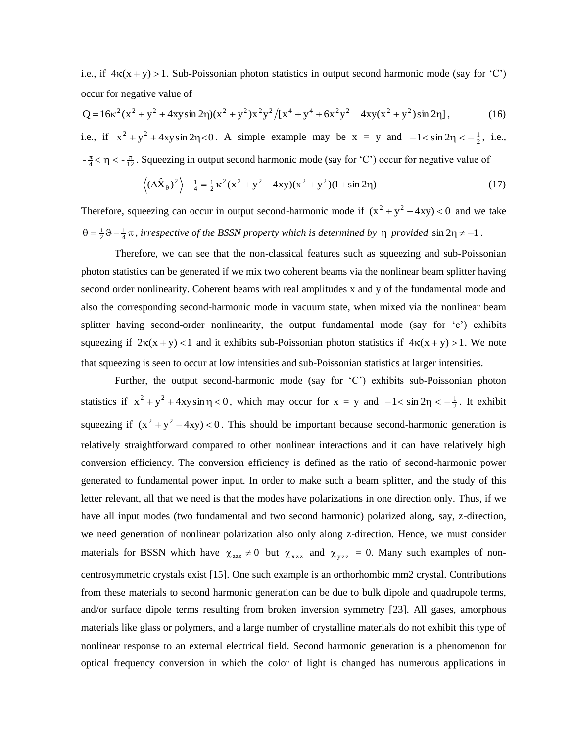i.e., if  $4\kappa(x + y) > 1$ . Sub-Poissonian photon statistics in output second harmonic mode (say for 'C') occur for negative value of

$$
Q = 16\kappa^2(x^2 + y^2 + 4xy\sin 2\eta)(x^2 + y^2)x^2y^2/[x^4 + y^4 + 6x^2y^2 + 4xy(x^2 + y^2)\sin 2\eta],
$$
 (16)

i.e., if  $x^2 + y^2 + 4xy\sin 2\eta < 0$ . A simple example may be  $x = y$  and  $-1 < \sin 2\eta < -\frac{1}{2}$ , i.e.,  $-\frac{\pi}{4} < \eta < -\frac{\pi}{12}$ . Squeezing in output second harmonic mode (say for 'C') occur for negative value of

$$
\left\langle \left( \Delta \hat{X}_{\theta} \right)^{2} \right\rangle - \frac{1}{4} = \frac{1}{2} \kappa^{2} (x^{2} + y^{2} - 4xy)(x^{2} + y^{2})(1 + \sin 2\eta)
$$
\n(17)

Therefore, squeezing can occur in output second-harmonic mode if  $(x^2 + y^2 - 4xy) < 0$  and we take  $\theta = \frac{1}{2} \theta - \frac{1}{4} \pi$ , *irrespective of the BSSN property which is determined by*  $\eta$  *provided* sin  $2\eta \neq -1$ .

Therefore, we can see that the non-classical features such as squeezing and sub-Poissonian photon statistics can be generated if we mix two coherent beams via the nonlinear beam splitter having second order nonlinearity. Coherent beams with real amplitudes x and y of the fundamental mode and also the corresponding second-harmonic mode in vacuum state, when mixed via the nonlinear beam splitter having second-order nonlinearity, the output fundamental mode (say for 'c') exhibits squeezing if  $2\kappa(x + y) < 1$  and it exhibits sub-Poissonian photon statistics if  $4\kappa(x + y) > 1$ . We note that squeezing is seen to occur at low intensities and sub-Poissonian statistics at larger intensities.

Further, the output second-harmonic mode (say for 'C') exhibits sub-Poissonian photon statistics if  $x^2 + y^2 + 4xy \sin \eta < 0$ , which may occur for  $x = y$  and  $-1 < \sin 2\eta < -\frac{1}{2}$ . It exhibit squeezing if  $(x^2 + y^2 - 4xy) < 0$ . This should be important because second-harmonic generation is relatively straightforward compared to other nonlinear interactions and it can have relatively high conversion efficiency. The conversion efficiency is defined as the ratio of second-harmonic power generated to fundamental power input. In order to make such a beam splitter, and the study of this letter relevant, all that we need is that the modes have polarizations in one direction only. Thus, if we have all input modes (two fundamental and two second harmonic) polarized along, say, z-direction, we need generation of nonlinear polarization also only along z-direction. Hence, we must consider materials for BSSN which have  $\chi_{zzz} \neq 0$  but  $\chi_{xzz}$  and  $\chi_{yzz} = 0$ . Many such examples of noncentrosymmetric crystals exist [15]. One such example is an orthorhombic mm2 crystal. Contributions from these materials to second harmonic generation can be due to bulk dipole and quadrupole terms, and/or surface dipole terms resulting from broken inversion symmetry [23]. All gases, amorphous materials like glass or polymers, and a large number of crystalline materials do not exhibit this type of nonlinear response to an external electrical field. Second harmonic generation is a phenomenon for optical frequency conversion in which the color of light is changed has numerous applications in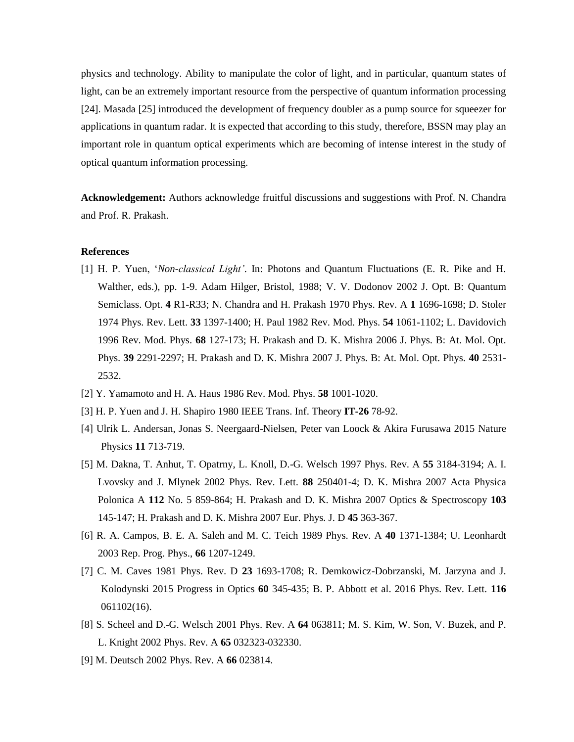physics and technology. Ability to manipulate the color of light, and in particular, quantum states of light, can be an extremely important resource from the perspective of quantum information processing [24]. Masada [25] introduced the development of frequency doubler as a pump source for squeezer for applications in quantum radar. It is expected that according to this study, therefore, BSSN may play an important role in quantum optical experiments which are becoming of intense interest in the study of optical quantum information processing.

**Acknowledgement:** Authors acknowledge fruitful discussions and suggestions with Prof. N. Chandra and Prof. R. Prakash.

### **References**

- [1] H. P. Yuen, '*Non-classical Light'*. In: Photons and Quantum Fluctuations (E. R. Pike and H. Walther, eds.), pp. 1-9. Adam Hilger, Bristol, 1988; V. V. Dodonov 2002 J. Opt. B: Quantum Semiclass. Opt. **4** R1-R33; N. Chandra and H. Prakash 1970 Phys. Rev. A **1** 1696-1698; D. Stoler 1974 Phys. Rev. Lett. **33** 1397-1400; H. Paul 1982 Rev. Mod. Phys. **54** 1061-1102; L. Davidovich 1996 Rev. Mod. Phys. **68** 127-173; H. Prakash and D. K. Mishra 2006 J. Phys. B: At. Mol. Opt. Phys. **39** 2291-2297; H. Prakash and D. K. Mishra 2007 J. Phys. B: At. Mol. Opt. Phys. **40** 2531- 2532.
- [2] Y. Yamamoto and H. A. Haus 1986 Rev. Mod. Phys. **58** 1001-1020.
- [3] H. P. Yuen and J. H. Shapiro 1980 IEEE Trans. Inf. Theory **IT-26** 78-92.
- [4] Ulrik L. Andersan, Jonas S. Neergaard-Nielsen, Peter van Loock & Akira Furusawa 2015 Nature Physics **11** 713-719.
- [5] M. Dakna, T. Anhut, T. Opatrny, L. Knoll, D.-G. Welsch 1997 Phys. Rev. A **55** 3184-3194; A. I. Lvovsky and J. Mlynek 2002 Phys. Rev. Lett. **88** 250401-4; D. K. Mishra 2007 Acta Physica Polonica A **112** No. 5 859-864; H. Prakash and D. K. Mishra 2007 Optics & Spectroscopy **103** 145-147; H. Prakash and D. K. Mishra 2007 Eur. Phys. J. D **45** 363-367.
- [6] R. A. Campos, B. E. A. Saleh and M. C. Teich 1989 Phys. Rev. A **40** 1371-1384; U. Leonhardt 2003 Rep. Prog. Phys., **66** 1207-1249.
- [7] C. M. Caves 1981 Phys. Rev. D **23** 1693-1708; R. Demkowicz-Dobrzanski, M. Jarzyna and J. Kolodynski 2015 Progress in Optics **60** 345-435; B. P. Abbott et al. 2016 Phys. Rev. Lett. **116** 061102(16).
- [8] S. Scheel and D.-G. Welsch 2001 Phys. Rev. A **64** 063811; M. S. Kim, W. Son, V. Buzek, and P. L. Knight 2002 Phys. Rev. A **65** 032323-032330.
- [9] M. Deutsch 2002 Phys. Rev. A **66** 023814.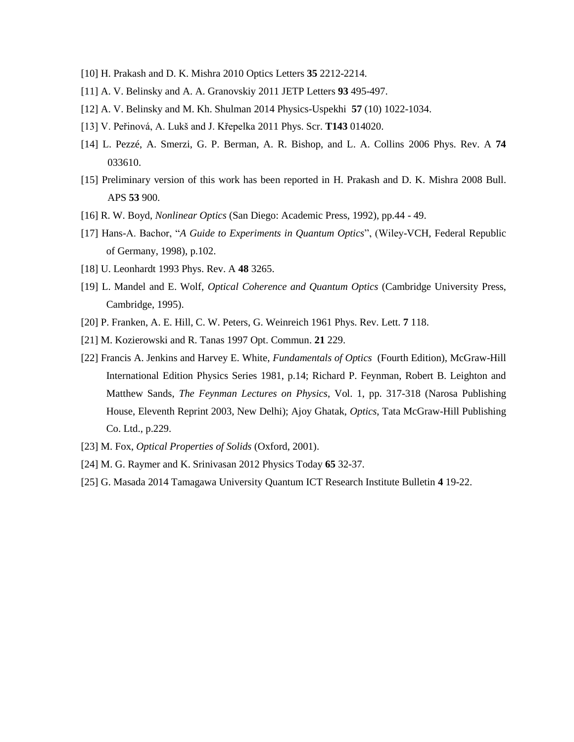- [10] H. Prakash and D. K. Mishra 2010 Optics Letters **35** 2212-2214.
- [11] A. V. Belinsky and A. A. Granovskiy 2011 JETP Letters **93** 495-497.
- [12] A. V. Belinsky and M. Kh. Shulman 2014 Physics-Uspekhi **57** (10) 1022-1034.
- [13] V. Peřinová, A. Lukš and J. Křepelka 2011 Phys. Scr. **T143** 014020.
- [14] L. Pezzé, A. Smerzi, G. P. Berman, A. R. Bishop, and L. A. Collins 2006 Phys. Rev. A **74** 033610.
- [15] Preliminary version of this work has been reported in H. Prakash and D. K. Mishra 2008 Bull. APS **53** 900.
- [16] R. W. Boyd, *Nonlinear Optics* (San Diego: Academic Press, 1992), pp.44 49.
- [17] Hans-A. Bachor, "*A Guide to Experiments in Quantum Optics*", (Wiley-VCH, Federal Republic of Germany, 1998), p.102.
- [18] U. Leonhardt 1993 Phys. Rev. A **48** 3265.
- [19] L. Mandel and E. Wolf, *Optical Coherence and Quantum Optics* (Cambridge University Press, Cambridge, 1995).
- [20] P. Franken, A. E. Hill, C. W. Peters, G. Weinreich 1961 Phys. Rev. Lett. **7** 118.
- [21] M. Kozierowski and R. Tanas 1997 Opt. Commun. **21** 229.
- [22] Francis A. Jenkins and Harvey E. White, *Fundamentals of Optics* (Fourth Edition), McGraw-Hill International Edition Physics Series 1981, p.14; Richard P. Feynman, Robert B. Leighton and Matthew Sands, *The Feynman Lectures on Physics*, Vol. 1, pp. 317-318 (Narosa Publishing House, Eleventh Reprint 2003, New Delhi); Ajoy Ghatak, *Optics*, Tata McGraw-Hill Publishing Co. Ltd., p.229.
- [23] M. Fox, *Optical Properties of Solids* (Oxford, 2001).
- [24] M. G. Raymer and K. Srinivasan 2012 Physics Today **65** 32-37.
- [25] G. Masada 2014 Tamagawa University Quantum ICT Research Institute Bulletin **4** 19-22.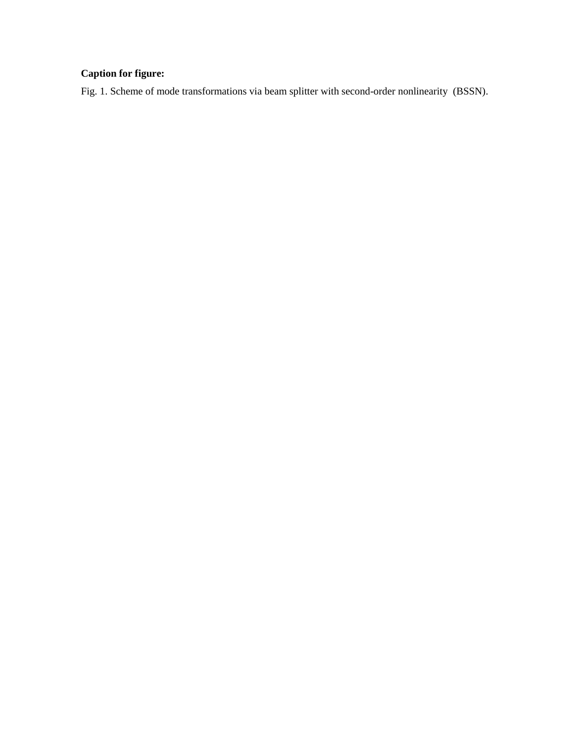# **Caption for figure:**

Fig. 1. Scheme of mode transformations via beam splitter with second-order nonlinearity (BSSN).